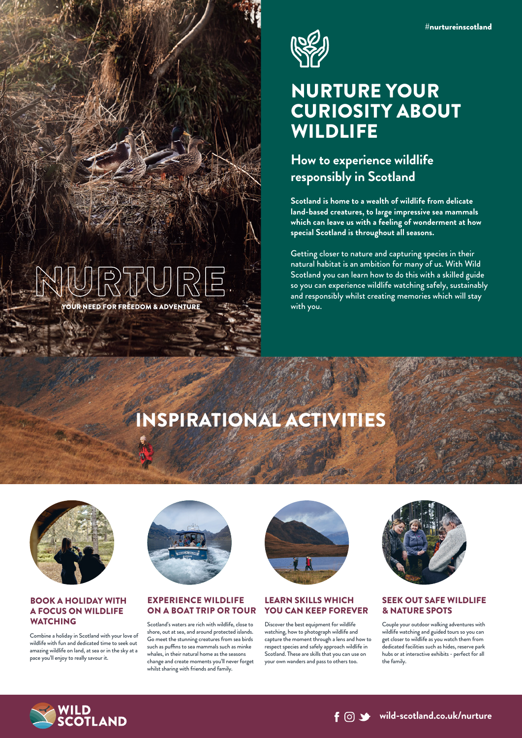

## NURTURE YOUR CURIOSITY ABOUT **WILDLIFE**

### **How to experience wildlife responsibly in Scotland**

**Scotland is home to a wealth of wildlife from delicate land-based creatures, to large impressive sea mammals which can leave us with a feeling of wonderment at how special Scotland is throughout all seasons.**

Getting closer to nature and capturing species in their natural habitat is an ambition for many of us. With Wild Scotland you can learn how to do this with a skilled guide so you can experience wildlife watching safely, sustainably and responsibly whilst creating memories which will stay with you.

## INSPIRATIONAL ACTIVITIES



YOUR NEED FOR FREEDOM & ADVENTURE

#### BOOK A HOLIDAY WITH A FOCUS ON WILDLIFE **WATCHING**

Combine a holiday in Scotland with your love of wildlife with fun and dedicated time to seek out amazing wildlife on land, at sea or in the sky at a pace you'll enjoy to really savour it.



#### EXPERIENCE WILDLIFE ON A BOAT TRIP OR TOUR

Scotland's waters are rich with wildlife, close to shore, out at sea, and around protected islands. Go meet the stunning creatures from sea birds such as puffins to sea mammals such as minke whales, in their natural home as the seasons change and create moments you'll never forget whilst sharing with friends and family.



#### LEARN SKILLS WHICH YOU CAN KEEP FOREVER

Discover the best equipment for wildlife watching, how to photograph wildlife and capture the moment through a lens and how to respect species and safely approach wildlife in Scotland. These are skills that you can use on your own wanders and pass to others too.



#### SEEK OUT SAFE WILDLIFE & NATURE SPOTS

Couple your outdoor walking adventures with wildlife watching and guided tours so you can get closer to wildlife as you watch them from dedicated facilities such as hides, reserve park hubs or at interactive exhibits - perfect for all the family.